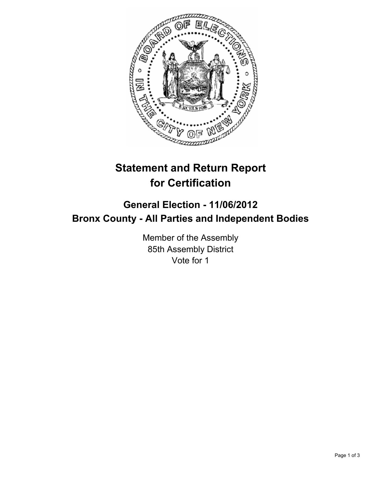

## **Statement and Return Report for Certification**

## **General Election - 11/06/2012 Bronx County - All Parties and Independent Bodies**

Member of the Assembly 85th Assembly District Vote for 1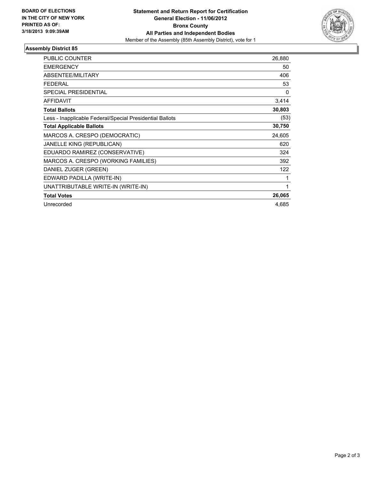

## **Assembly District 85**

| <b>PUBLIC COUNTER</b>                                    | 26,880 |
|----------------------------------------------------------|--------|
| <b>EMERGENCY</b>                                         | 50     |
| <b>ABSENTEE/MILITARY</b>                                 | 406    |
| <b>FEDERAL</b>                                           | 53     |
| <b>SPECIAL PRESIDENTIAL</b>                              | 0      |
| <b>AFFIDAVIT</b>                                         | 3,414  |
| <b>Total Ballots</b>                                     | 30,803 |
| Less - Inapplicable Federal/Special Presidential Ballots | (53)   |
| <b>Total Applicable Ballots</b>                          | 30,750 |
| MARCOS A. CRESPO (DEMOCRATIC)                            | 24,605 |
| JANELLE KING (REPUBLICAN)                                | 620    |
| EDUARDO RAMIREZ (CONSERVATIVE)                           | 324    |
| MARCOS A. CRESPO (WORKING FAMILIES)                      | 392    |
| DANIEL ZUGER (GREEN)                                     | 122    |
| EDWARD PADILLA (WRITE-IN)                                | 1      |
| UNATTRIBUTABLE WRITE-IN (WRITE-IN)                       | 1      |
| <b>Total Votes</b>                                       | 26,065 |
| Unrecorded                                               | 4,685  |